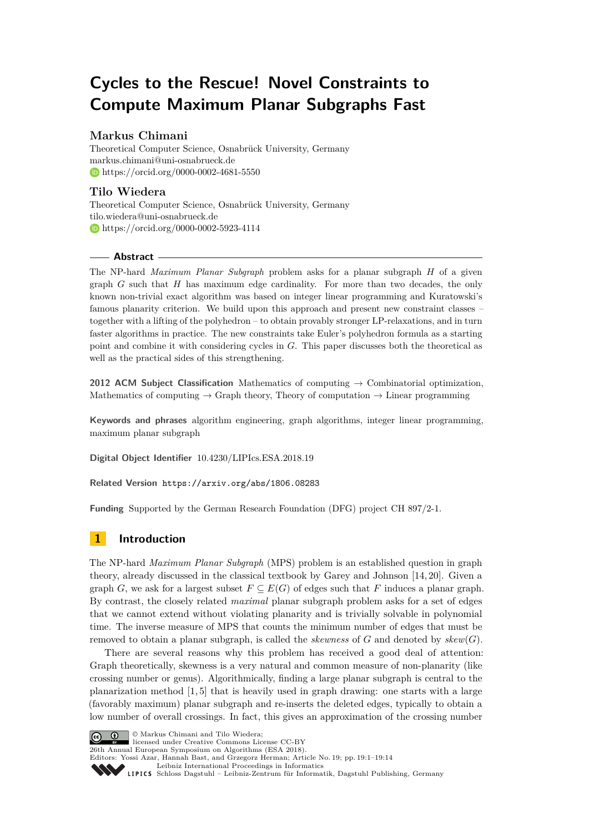# **Cycles to the Rescue! Novel Constraints to Compute Maximum Planar Subgraphs Fast**

# **Markus Chimani**

Theoretical Computer Science, Osnabrück University, Germany [markus.chimani@uni-osnabrueck.de](mailto:markus.chimani@uni-osnabrueck.de) <https://orcid.org/0000-0002-4681-5550>

# **Tilo Wiedera**

Theoretical Computer Science, Osnabrück University, Germany [tilo.wiedera@uni-osnabrueck.de](mailto:tilo.wiedera@uni-osnabrueck.de) **<https://orcid.org/0000-0002-5923-4114>** 

### **Abstract**

The NP-hard *Maximum Planar Subgraph* problem asks for a planar subgraph *H* of a given graph *G* such that *H* has maximum edge cardinality. For more than two decades, the only known non-trivial exact algorithm was based on integer linear programming and Kuratowski's famous planarity criterion. We build upon this approach and present new constraint classes – together with a lifting of the polyhedron – to obtain provably stronger LP-relaxations, and in turn faster algorithms in practice. The new constraints take Euler's polyhedron formula as a starting point and combine it with considering cycles in *G*. This paper discusses both the theoretical as well as the practical sides of this strengthening.

**2012 ACM Subject Classification** Mathematics of computing  $\rightarrow$  Combinatorial optimization, Mathematics of computing  $\rightarrow$  Graph theory, Theory of computation  $\rightarrow$  Linear programming

**Keywords and phrases** algorithm engineering, graph algorithms, integer linear programming, maximum planar subgraph

**Digital Object Identifier** [10.4230/LIPIcs.ESA.2018.19](http://dx.doi.org/10.4230/LIPIcs.ESA.2018.19)

**Related Version** <https://arxiv.org/abs/1806.08283>

**Funding** Supported by the German Research Foundation (DFG) project CH 897/2-1.

# **1 Introduction**

The NP-hard *Maximum Planar Subgraph* (MPS) problem is an established question in graph theory, already discussed in the classical textbook by Garey and Johnson [\[14,](#page-13-0) [20\]](#page-13-1). Given a graph *G*, we ask for a largest subset  $F \subseteq E(G)$  of edges such that *F* induces a planar graph. By contrast, the closely related *maximal* planar subgraph problem asks for a set of edges that we cannot extend without violating planarity and is trivially solvable in polynomial time. The inverse measure of MPS that counts the minimum number of edges that must be removed to obtain a planar subgraph, is called the *skewness* of *G* and denoted by *skew*(*G*).

There are several reasons why this problem has received a good deal of attention: Graph theoretically, skewness is a very natural and common measure of non-planarity (like crossing number or genus). Algorithmically, finding a large planar subgraph is central to the planarization method  $[1, 5]$  $[1, 5]$  that is heavily used in graph drawing: one starts with a large (favorably maximum) planar subgraph and re-inserts the deleted edges, typically to obtain a low number of overall crossings. In fact, this gives an approximation of the crossing number



© Markus Chimani and Tilo Wiedera; licensed under Creative Commons License CC-BY

26th Annual European Symposium on Algorithms (ESA 2018).

Editors: Yossi Azar, Hannah Bast, and Grzegorz Herman; Article No. 19; pp. 19:1–19[:14](#page-13-2)

[Leibniz International Proceedings in Informatics](http://www.dagstuhl.de/lipics/) Leibniz International Froceedings in miormatics<br>
LIPICS [Schloss Dagstuhl – Leibniz-Zentrum für Informatik, Dagstuhl Publishing, Germany](http://www.dagstuhl.de)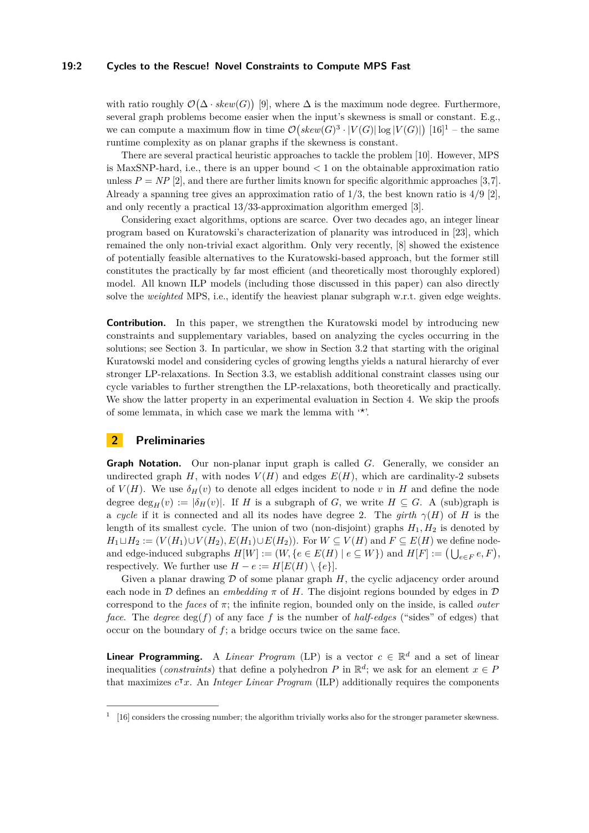#### **19:2 Cycles to the Rescue! Novel Constraints to Compute MPS Fast**

with ratio roughly  $\mathcal{O}(\Delta \cdot skew(G))$  [\[9\]](#page-12-2), where  $\Delta$  is the maximum node degree. Furthermore, several graph problems become easier when the input's skewness is small or constant. E.g., we can compute a maximum flow in time  $\mathcal{O}(skew(G)^3 \cdot |V(G)| \log |V(G)|)$  [\[16\]](#page-13-3)<sup>[1](#page-1-0)</sup> – the same runtime complexity as on planar graphs if the skewness is constant.

There are several practical heuristic approaches to tackle the problem [\[10\]](#page-12-3). However, MPS is MaxSNP-hard, i.e., there is an upper bound  $\lt 1$  on the obtainable approximation ratio unless  $P = NP$  [\[2\]](#page-12-4), and there are further limits known for specific algorithmic approaches [\[3,](#page-12-5)[7\]](#page-12-6). Already a spanning tree gives an approximation ratio of 1*/*3, the best known ratio is 4*/*9 [\[2\]](#page-12-4), and only recently a practical 13*/*33-approximation algorithm emerged [\[3\]](#page-12-5).

Considering exact algorithms, options are scarce. Over two decades ago, an integer linear program based on Kuratowski's characterization of planarity was introduced in [\[23\]](#page-13-4), which remained the only non-trivial exact algorithm. Only very recently, [\[8\]](#page-12-7) showed the existence of potentially feasible alternatives to the Kuratowski-based approach, but the former still constitutes the practically by far most efficient (and theoretically most thoroughly explored) model. All known ILP models (including those discussed in this paper) can also directly solve the *weighted* MPS, i.e., identify the heaviest planar subgraph w.r.t. given edge weights.

**Contribution.** In this paper, we strengthen the Kuratowski model by introducing new constraints and supplementary variables, based on analyzing the cycles occurring in the solutions; see Section [3.](#page-2-0) In particular, we show in Section [3.2](#page-5-0) that starting with the original Kuratowski model and considering cycles of growing lengths yields a natural hierarchy of ever stronger LP-relaxations. In Section [3.3,](#page-6-0) we establish additional constraint classes using our cycle variables to further strengthen the LP-relaxations, both theoretically and practically. We show the latter property in an experimental evaluation in Section [4.](#page-8-0) We skip the proofs of some lemmata, in which case we mark the lemma with '*?*'.

### **2 Preliminaries**

**Graph Notation.** Our non-planar input graph is called G. Generally, we consider an undirected graph  $H$ , with nodes  $V(H)$  and edges  $E(H)$ , which are cardinality-2 subsets of  $V(H)$ . We use  $\delta_H(v)$  to denote all edges incident to node v in *H* and define the node degree deg<sub>H</sub>(*v*) :=  $|\delta_H(v)|$ . If *H* is a subgraph of *G*, we write  $H \subseteq G$ . A (sub)graph is a *cycle* if it is connected and all its nodes have degree 2. The *girth*  $\gamma(H)$  of *H* is the length of its smallest cycle. The union of two (non-disjoint) graphs  $H_1, H_2$  is denoted by *H*<sub>1</sub>∟ $H_2$  := (*V*( $H_1$ )∪*V*( $H_2$ )*, E*( $H_1$ )∪*E*( $H_2$ )). For *W* ⊆ *V*( $H$ ) and *F* ⊆ *E*( $H$ ) we define nodeand edge-induced subgraphs  $H[W] := (W, \{e \in E(H) \mid e \subseteq W\})$  and  $H[F] := (\bigcup_{e \in F} e, F)$ , respectively. We further use  $H - e := H[E(H) \setminus \{e\}].$ 

Given a planar drawing  $D$  of some planar graph  $H$ , the cyclic adjacency order around each node in D defines an *embedding*  $\pi$  of H. The disjoint regions bounded by edges in D correspond to the *faces* of *π*; the infinite region, bounded only on the inside, is called *outer face.* The *degree*  $deg(f)$  of any face f is the number of *half-edges* ("sides" of edges) that occur on the boundary of  $f$ ; a bridge occurs twice on the same face.

**Linear Programming.** A *Linear Program* (LP) is a vector  $c \in \mathbb{R}^d$  and a set of linear inequalities (*constraints*) that define a polyhedron *P* in  $\mathbb{R}^d$ ; we ask for an element  $x \in P$ that maximizes  $c^{\dagger}x$ . An *Integer Linear Program* (ILP) additionally requires the components

<span id="page-1-0"></span><sup>&</sup>lt;sup>1</sup> [\[16\]](#page-13-3) considers the crossing number; the algorithm trivially works also for the stronger parameter skewness.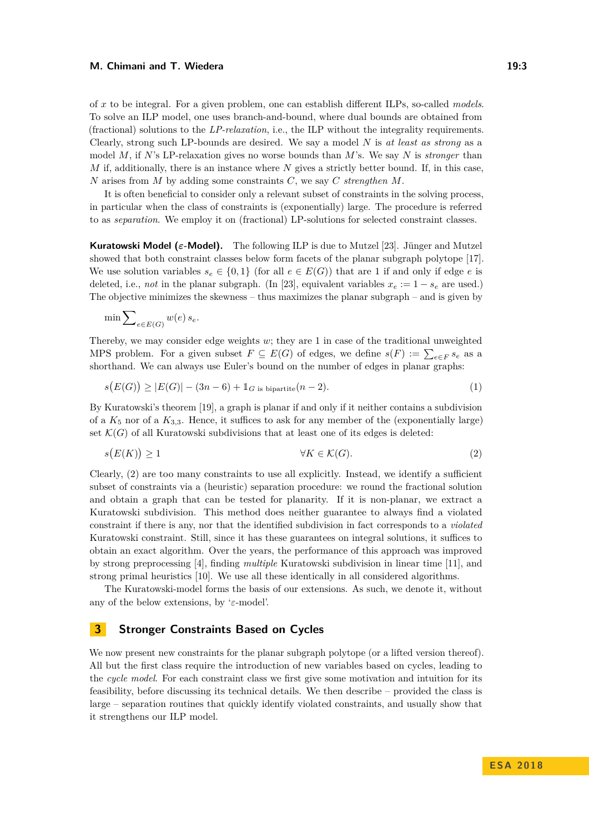#### **M. Chimani and T. Wiedera 19:3 19:3**

of *x* to be integral. For a given problem, one can establish different ILPs, so-called *models*. To solve an ILP model, one uses branch-and-bound, where dual bounds are obtained from (fractional) solutions to the *LP-relaxation*, i.e., the ILP without the integrality requirements. Clearly, strong such LP-bounds are desired. We say a model *N* is *at least as strong* as a model *M*, if *N*'s LP-relaxation gives no worse bounds than *M*'s. We say *N* is *stronger* than *M* if, additionally, there is an instance where *N* gives a strictly better bound. If, in this case, *N* arises from *M* by adding some constraints *C*, we say *C strengthen M*.

It is often beneficial to consider only a relevant subset of constraints in the solving process, in particular when the class of constraints is (exponentially) large. The procedure is referred to as *separation*. We employ it on (fractional) LP-solutions for selected constraint classes.

**Kuratowski Model (***ε***-Model).** The following ILP is due to Mutzel [\[23\]](#page-13-4). Jünger and Mutzel showed that both constraint classes below form facets of the planar subgraph polytope [\[17\]](#page-13-5). We use solution variables  $s_e \in \{0,1\}$  (for all  $e \in E(G)$ ) that are 1 if and only if edge *e* is deleted, i.e., *not* in the planar subgraph. (In [\[23\]](#page-13-4), equivalent variables  $x_e := 1 - s_e$  are used.) The objective minimizes the skewness – thus maximizes the planar subgraph – and is given by

$$
\min \sum\nolimits_{e \in E(G)} w(e) \, s_e.
$$

Thereby, we may consider edge weights *w*; they are 1 in case of the traditional unweighted MPS problem. For a given subset  $F \subseteq E(G)$  of edges, we define  $s(F) := \sum_{e \in F} s_e$  as a shorthand. We can always use Euler's bound on the number of edges in planar graphs:

$$
s(E(G)) \ge |E(G)| - (3n - 6) + 1_{G \text{ is bipartite}}(n - 2). \tag{1}
$$

By Kuratowski's theorem [\[19\]](#page-13-6), a graph is planar if and only if it neither contains a subdivision of a  $K_5$  nor of a  $K_{3,3}$ . Hence, it suffices to ask for any member of the (exponentially large) set  $\mathcal{K}(G)$  of all Kuratowski subdivisions that at least one of its edges is deleted:

<span id="page-2-1"></span>
$$
s(E(K)) \ge 1 \qquad \forall K \in \mathcal{K}(G). \tag{2}
$$

Clearly, [\(2\)](#page-2-1) are too many constraints to use all explicitly. Instead, we identify a sufficient subset of constraints via a (heuristic) separation procedure: we round the fractional solution and obtain a graph that can be tested for planarity. If it is non-planar, we extract a Kuratowski subdivision. This method does neither guarantee to always find a violated constraint if there is any, nor that the identified subdivision in fact corresponds to a *violated* Kuratowski constraint. Still, since it has these guarantees on integral solutions, it suffices to obtain an exact algorithm. Over the years, the performance of this approach was improved by strong preprocessing [\[4\]](#page-12-8), finding *multiple* Kuratowski subdivision in linear time [\[11\]](#page-12-9), and strong primal heuristics [\[10\]](#page-12-3). We use all these identically in all considered algorithms.

The Kuratowski-model forms the basis of our extensions. As such, we denote it, without any of the below extensions, by '*ε*-model'.

### <span id="page-2-0"></span>**3 Stronger Constraints Based on Cycles**

We now present new constraints for the planar subgraph polytope (or a lifted version thereof). All but the first class require the introduction of new variables based on cycles, leading to the *cycle model*. For each constraint class we first give some motivation and intuition for its feasibility, before discussing its technical details. We then describe – provided the class is large – separation routines that quickly identify violated constraints, and usually show that it strengthens our ILP model.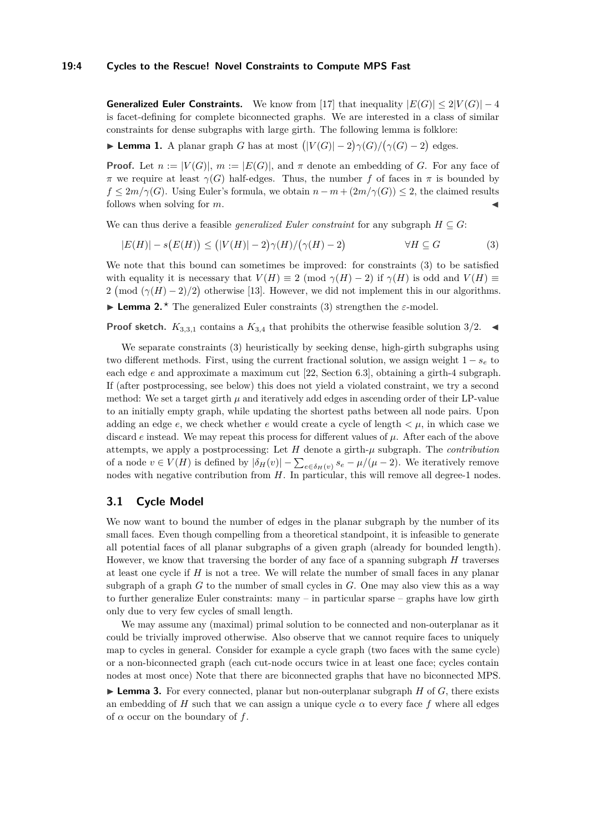#### **19:4 Cycles to the Rescue! Novel Constraints to Compute MPS Fast**

**Generalized Euler Constraints.** We know from [\[17\]](#page-13-5) that inequality  $|E(G)| \leq 2|V(G)| - 4$ is facet-defining for complete biconnected graphs. We are interested in a class of similar constraints for dense subgraphs with large girth. The following lemma is folklore:

**Lemma 1.** A planar graph *G* has at most  $(|V(G)| - 2)\gamma(G)/(\gamma(G) - 2)$  edges.

**Proof.** Let  $n := |V(G)|$ ,  $m := |E(G)|$ , and  $\pi$  denote an embedding of *G*. For any face of *π* we require at least *γ*(*G*) half-edges. Thus, the number *f* of faces in *π* is bounded by *f* ≤ 2*m*/ $\gamma$ (*G*). Using Euler's formula, we obtain  $n - m + (2m/\gamma(G)) \leq 2$ , the claimed results follows when solving for m.

We can thus derive a feasible *generalized Euler constraint* for any subgraph  $H \subseteq G$ :

<span id="page-3-0"></span>
$$
|E(H)| - s(E(H)) \le (|V(H)| - 2)\gamma(H)/(\gamma(H) - 2) \qquad \forall H \subseteq G \tag{3}
$$

We note that this bound can sometimes be improved: for constraints [\(3\)](#page-3-0) to be satisfied with equality it is necessary that  $V(H) \equiv 2 \pmod{\gamma(H) - 2}$  if  $\gamma(H)$  is odd and  $V(H) \equiv$ 2 (mod  $(\gamma(H)-2)/2$ ) otherwise [\[13\]](#page-12-10). However, we did not implement this in our algorithms. **Lemma 2.**<sup>*\**</sup> The generalized Euler constraints [\(3\)](#page-3-0) strengthen the  $\varepsilon$ -model.

**Proof sketch.**  $K_{3,3,1}$  contains a  $K_{3,4}$  that prohibits the otherwise feasible solution 3/2.

We separate constraints [\(3\)](#page-3-0) heuristically by seeking dense, high-girth subgraphs using two different methods. First, using the current fractional solution, we assign weight  $1 - s_e$  to each edge *e* and approximate a maximum cut [\[22,](#page-13-7) Section 6.3], obtaining a girth-4 subgraph. If (after postprocessing, see below) this does not yield a violated constraint, we try a second method: We set a target girth  $\mu$  and iteratively add edges in ascending order of their LP-value to an initially empty graph, while updating the shortest paths between all node pairs. Upon adding an edge  $e$ , we check whether  $e$  would create a cycle of length  $\lt \mu$ , in which case we discard  $e$  instead. We may repeat this process for different values of  $\mu$ . After each of the above attempts, we apply a postprocessing: Let *H* denote a girth-*µ* subgraph. The *contribution* of a node  $v \in V(H)$  is defined by  $|\delta_H(v)| - \sum_{e \in \delta_H(v)} s_e - \mu/(\mu - 2)$ . We iteratively remove nodes with negative contribution from *H*. In particular, this will remove all degree-1 nodes.

# **3.1 Cycle Model**

We now want to bound the number of edges in the planar subgraph by the number of its small faces. Even though compelling from a theoretical standpoint, it is infeasible to generate all potential faces of all planar subgraphs of a given graph (already for bounded length). However, we know that traversing the border of any face of a spanning subgraph *H* traverses at least one cycle if *H* is not a tree. We will relate the number of small faces in any planar subgraph of a graph *G* to the number of small cycles in *G*. One may also view this as a way to further generalize Euler constraints: many – in particular sparse – graphs have low girth only due to very few cycles of small length.

We may assume any (maximal) primal solution to be connected and non-outerplanar as it could be trivially improved otherwise. Also observe that we cannot require faces to uniquely map to cycles in general. Consider for example a cycle graph (two faces with the same cycle) or a non-biconnected graph (each cut-node occurs twice in at least one face; cycles contain nodes at most once) Note that there are biconnected graphs that have no biconnected MPS. **Lemma 3.** For every connected, planar but non-outerplanar subgraph  $H$  of  $G$ , there exists an embedding of *H* such that we can assign a unique cycle  $\alpha$  to every face *f* where all edges

<span id="page-3-1"></span>of  $\alpha$  occur on the boundary of  $f$ .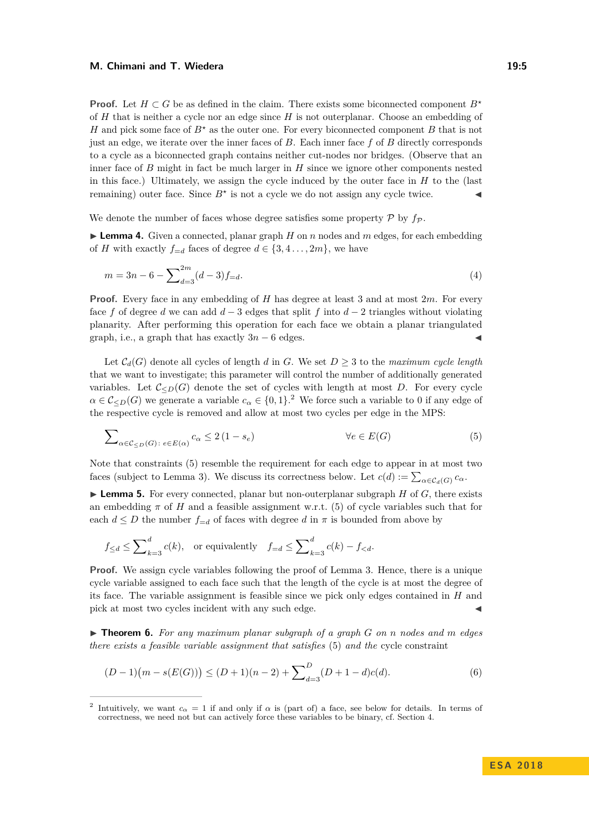#### **M. Chimani and T. Wiedera 19:5 19:5**

**Proof.** Let  $H \subset G$  be as defined in the claim. There exists some biconnected component  $B^*$ of *H* that is neither a cycle nor an edge since *H* is not outerplanar. Choose an embedding of *H* and pick some face of *B?* as the outer one. For every biconnected component *B* that is not just an edge, we iterate over the inner faces of *B*. Each inner face *f* of *B* directly corresponds to a cycle as a biconnected graph contains neither cut-nodes nor bridges. (Observe that an inner face of *B* might in fact be much larger in *H* since we ignore other components nested in this face.) Ultimately, we assign the cycle induced by the outer face in *H* to the (last remaining) outer face. Since  $B^*$  is not a cycle we do not assign any cycle twice.

We denote the number of faces whose degree satisfies some property  $\mathcal{P}$  by  $f_{\mathcal{P}}$ .

**Lemma 4.** Given a connected, planar graph  $H$  on  $n$  nodes and  $m$  edges, for each embedding of *H* with exactly  $f_{=d}$  faces of degree  $d \in \{3, 4, \ldots, 2m\}$ , we have

<span id="page-4-2"></span>
$$
m = 3n - 6 - \sum_{d=3}^{2m} (d-3)f_{=d}.
$$
\n<sup>(4)</sup>

**Proof.** Every face in any embedding of *H* has degree at least 3 and at most 2*m*. For every face *f* of degree *d* we can add *d* − 3 edges that split *f* into *d* − 2 triangles without violating planarity. After performing this operation for each face we obtain a planar triangulated graph, i.e., a graph that has exactly  $3n - 6$  edges.

Let  $C_d(G)$  denote all cycles of length *d* in *G*. We set  $D \geq 3$  to the *maximum cycle length* that we want to investigate; this parameter will control the number of additionally generated variables. Let  $\mathcal{C}_{\leq D}(G)$  denote the set of cycles with length at most *D*. For every cycle  $\alpha \in C_{\leq D}(G)$  we generate a variable  $c_{\alpha} \in \{0,1\}$ .<sup>[2](#page-4-0)</sup> We force such a variable to 0 if any edge of the respective cycle is removed and allow at most two cycles per edge in the MPS:

<span id="page-4-1"></span>
$$
\sum_{\alpha \in \mathcal{C}_{\leq D}(G) : e \in E(\alpha)} c_{\alpha} \leq 2(1 - s_e) \qquad \forall e \in E(G)
$$
\n
$$
(5)
$$

Note that constraints [\(5\)](#page-4-1) resemble the requirement for each edge to appear in at most two faces (subject to Lemma [3\)](#page-3-1). We discuss its correctness below. Let  $c(d) := \sum_{\alpha \in C_d(G)} c_{\alpha}$ .

<span id="page-4-3"></span>**Lemma 5.** For every connected, planar but non-outerplanar subgraph  $H$  of  $G$ , there exists an embedding  $\pi$  of  $H$  and a feasible assignment w.r.t. [\(5\)](#page-4-1) of cycle variables such that for each  $d \leq D$  the number  $f_{=d}$  of faces with degree  $d$  in  $\pi$  is bounded from above by

$$
f_{\leq d} \leq \sum_{k=3}^{d} c(k)
$$
, or equivalently  $f_{=d} \leq \sum_{k=3}^{d} c(k) - f_{\leq d}$ .

**Proof.** We assign cycle variables following the proof of Lemma [3.](#page-3-1) Hence, there is a unique cycle variable assigned to each face such that the length of the cycle is at most the degree of its face. The variable assignment is feasible since we pick only edges contained in *H* and pick at most two cycles incident with any such edge.

I **Theorem 6.** *For any maximum planar subgraph of a graph G on n nodes and m edges there exists a feasible variable assignment that satisfies* [\(5\)](#page-4-1) *and the* cycle constraint

<span id="page-4-4"></span>
$$
(D-1)(m - s(E(G))) \le (D+1)(n-2) + \sum_{d=3}^{D} (D+1-d)c(d).
$$
 (6)

<span id="page-4-0"></span><sup>2</sup> Intuitively, we want  $c_{\alpha} = 1$  if and only if  $\alpha$  is (part of) a face, see below for details. In terms of correctness, we need not but can actively force these variables to be binary, cf. Section [4.](#page-8-0)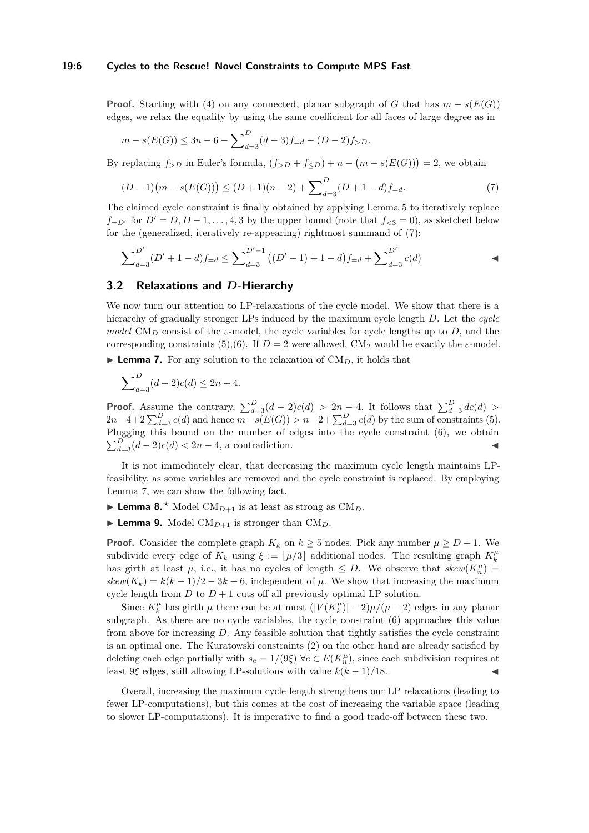#### **19:6 Cycles to the Rescue! Novel Constraints to Compute MPS Fast**

**Proof.** Starting with [\(4\)](#page-4-2) on any connected, planar subgraph of *G* that has  $m - s(E(G))$ edges, we relax the equality by using the same coefficient for all faces of large degree as in

<span id="page-5-1"></span>
$$
m - s(E(G)) \le 3n - 6 - \sum_{d=3}^{D} (d-3)f_{=d} - (D-2)f_{>D}.
$$

By replacing  $f_{>D}$  in Euler's formula,  $(f_{>D} + f_{\leq D}) + n - (m - s(E(G))) = 2$ , we obtain

$$
(D-1)(m - s(E(G))) \le (D+1)(n-2) + \sum_{d=3}^{D} (D+1-d)f_{=d}.
$$
\n(7)

The claimed cycle constraint is finally obtained by applying Lemma [5](#page-4-3) to iteratively replace *f*=*D*<sup> $\prime$ </sup> for *D*<sup> $\prime$ </sup> = *D, D* − 1*, . . .* , 4*,* 3 by the upper bound (note that *f*<sub><3</sub> = 0), as sketched below for the (generalized, iteratively re-appearing) rightmost summand of [\(7\)](#page-5-1):

$$
\sum_{d=3}^{D'} (D' + 1 - d)f_{=d} \le \sum_{d=3}^{D'-1} ((D' - 1) + 1 - d)f_{=d} + \sum_{d=3}^{D'} c(d)
$$

### <span id="page-5-0"></span>**3.2 Relaxations and** *D***-Hierarchy**

We now turn our attention to LP-relaxations of the cycle model. We show that there is a hierarchy of gradually stronger LPs induced by the maximum cycle length *D*. Let the *cycle model* CM<sub>D</sub> consist of the *ε*-model, the cycle variables for cycle lengths up to D, and the corresponding constraints [\(5\)](#page-4-1),[\(6\)](#page-4-4). If  $D = 2$  were allowed, CM<sub>2</sub> would be exactly the  $\varepsilon$ -model.

<span id="page-5-2"></span>**Lemma 7.** For any solution to the relaxation of  $CM<sub>D</sub>$ , it holds that

$$
\sum_{d=3}^{D} (d-2)c(d) \le 2n - 4.
$$

**Proof.** Assume the contrary,  $\sum_{d=3}^{D} (d-2)c(d) > 2n-4$ . It follows that  $\sum_{d=3}^{D} dc(d) >$  $2n-4+2\sum_{d=3}^D c(d)$  and hence  $\overline{m-s}(E(G)) > n-2+\sum_{d=3}^D c(d)$  by the sum of constraints [\(5\)](#page-4-1). Plugging this bound on the number of edges into the cycle constraint [\(6\)](#page-4-4), we obtain  $\sum_{d=3}^{D} (d-2)c(d) < 2n-4$ , a contradiction.

It is not immediately clear, that decreasing the maximum cycle length maintains LPfeasibility, as some variables are removed and the cycle constraint is replaced. By employing Lemma [7,](#page-5-2) we can show the following fact.

**Lemma 8.**<sup>*\**</sup> Model CM<sub>D+1</sub> is at least as strong as CM<sub>D</sub>.

**Lemma 9.** Model  $CM_{D+1}$  is stronger than  $CM_{D}$ .

**Proof.** Consider the complete graph  $K_k$  on  $k \geq 5$  nodes. Pick any number  $\mu \geq D+1$ . We subdivide every edge of  $K_k$  using  $\xi := \lfloor \mu/3 \rfloor$  additional nodes. The resulting graph  $K_k^{\mu}$ has girth at least  $\mu$ , i.e., it has no cycles of length  $\leq D$ . We observe that  $skew(K_n^{\mu}) =$  $skew(K_k) = k(k-1)/2 - 3k + 6$ , independent of  $\mu$ . We show that increasing the maximum cycle length from  $D$  to  $D+1$  cuts off all previously optimal LP solution.

Since  $K_k^{\mu}$  has girth  $\mu$  there can be at most  $(|V(K_k^{\mu})| - 2)\mu/(\mu - 2)$  edges in any planar subgraph. As there are no cycle variables, the cycle constraint [\(6\)](#page-4-4) approaches this value from above for increasing *D*. Any feasible solution that tightly satisfies the cycle constraint is an optimal one. The Kuratowski constraints [\(2\)](#page-2-1) on the other hand are already satisfied by deleting each edge partially with  $s_e = 1/(9\xi)$   $\forall e \in E(K_n^{\mu})$ , since each subdivision requires at least 9 $\xi$  edges, still allowing LP-solutions with value  $k(k-1)/18$ .

Overall, increasing the maximum cycle length strengthens our LP relaxations (leading to fewer LP-computations), but this comes at the cost of increasing the variable space (leading to slower LP-computations). It is imperative to find a good trade-off between these two.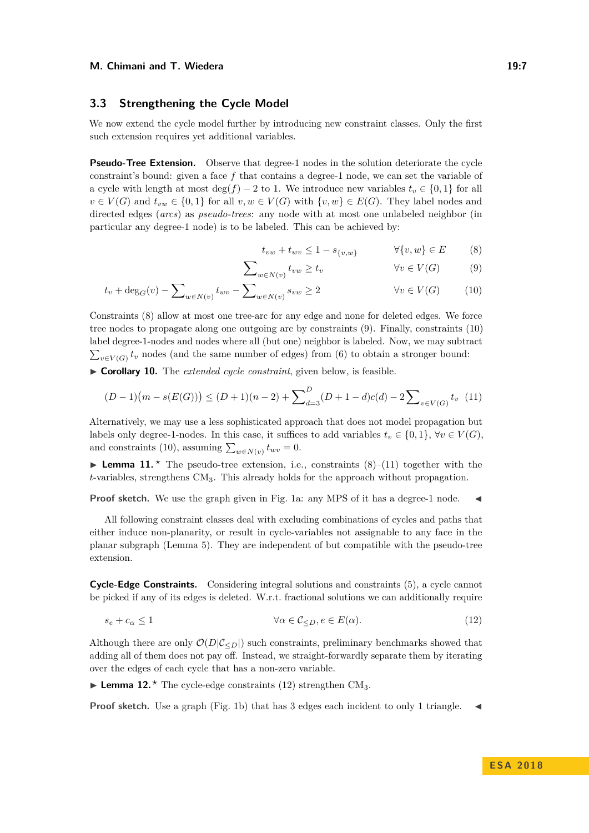### <span id="page-6-0"></span>**3.3 Strengthening the Cycle Model**

We now extend the cycle model further by introducing new constraint classes. Only the first such extension requires yet additional variables.

**Pseudo-Tree Extension.** Observe that degree-1 nodes in the solution deteriorate the cycle constraint's bound: given a face *f* that contains a degree-1 node, we can set the variable of a cycle with length at most deg( $f$ ) − 2 to 1. We introduce new variables  $t<sub>v</sub> \in \{0,1\}$  for all  $v \in V(G)$  and  $t_{vw} \in \{0,1\}$  for all  $v, w \in V(G)$  with  $\{v, w\} \in E(G)$ . They label nodes and directed edges (*arcs*) as *pseudo-trees*: any node with at most one unlabeled neighbor (in particular any degree-1 node) is to be labeled. This can be achieved by:

<span id="page-6-4"></span><span id="page-6-3"></span><span id="page-6-2"></span><span id="page-6-1"></span>
$$
t_{vw} + t_{wv} \le 1 - s_{\{v,w\}} \qquad \forall \{v,w\} \in E \qquad (8)
$$

$$
\sum_{w \in N(v)} t_{vw} \ge t_v \qquad \qquad \forall v \in V(G) \qquad (9)
$$

$$
t_v + \deg_G(v) - \sum_{w \in N(v)} t_{wv} - \sum_{w \in N(v)} s_{vw} \ge 2 \qquad \forall v \in V(G) \tag{10}
$$

Constraints [\(8\)](#page-6-1) allow at most one tree-arc for any edge and none for deleted edges. We force tree nodes to propagate along one outgoing arc by constraints [\(9\)](#page-6-2). Finally, constraints [\(10\)](#page-6-3) label degree-1-nodes and nodes where all (but one) neighbor is labeled. Now, we may subtract  $\sum_{v \in V(G)} t_v$  nodes (and the same number of edges) from [\(6\)](#page-4-4) to obtain a stronger bound:

▶ Corollary 10. The *extended cycle constraint*, given below, is feasible.

$$
(D-1)(m - s(E(G))) \le (D+1)(n-2) + \sum_{d=3}^{D} (D+1-d)c(d) - 2\sum_{v \in V(G)} t_v \tag{11}
$$

Alternatively, we may use a less sophisticated approach that does not model propagation but labels only degree-1-nodes. In this case, it suffices to add variables  $t_v \in \{0,1\}$ ,  $\forall v \in V(G)$ , and constraints [\(10\)](#page-6-3), assuming  $\sum_{w \in N(v)} t_{wv} = 0$ .

<span id="page-6-6"></span>**Lemma 11.** *\** The pseudo-tree extension, i.e., constraints  $(8)-(11)$  $(8)-(11)$  $(8)-(11)$  together with the *t*-variables, strengthens CM3. This already holds for the approach without propagation.

**Proof sketch.** We use the graph given in Fig. [1a:](#page-7-0) any MPS of it has a degree-1 node.

All following constraint classes deal with excluding combinations of cycles and paths that either induce non-planarity, or result in cycle-variables not assignable to any face in the planar subgraph (Lemma [5\)](#page-4-3). They are independent of but compatible with the pseudo-tree extension.

**Cycle-Edge Constraints.** Considering integral solutions and constraints [\(5\)](#page-4-1), a cycle cannot be picked if any of its edges is deleted. W.r.t. fractional solutions we can additionally require

<span id="page-6-5"></span>
$$
s_e + c_\alpha \le 1 \qquad \qquad \forall \alpha \in \mathcal{C}_{\leq D}, e \in E(\alpha). \tag{12}
$$

Although there are only  $\mathcal{O}(D|\mathcal{C}_{\leq D}|)$  such constraints, preliminary benchmarks showed that adding all of them does not pay off. Instead, we straight-forwardly separate them by iterating over the edges of each cycle that has a non-zero variable.

<span id="page-6-7"></span>**Lemma 12.**<sup>*\**</sup> The cycle-edge constraints [\(12\)](#page-6-5) strengthen  $CM_3$ .

**Proof sketch.** Use a graph (Fig. [1b\)](#page-7-0) that has 3 edges each incident to only 1 triangle.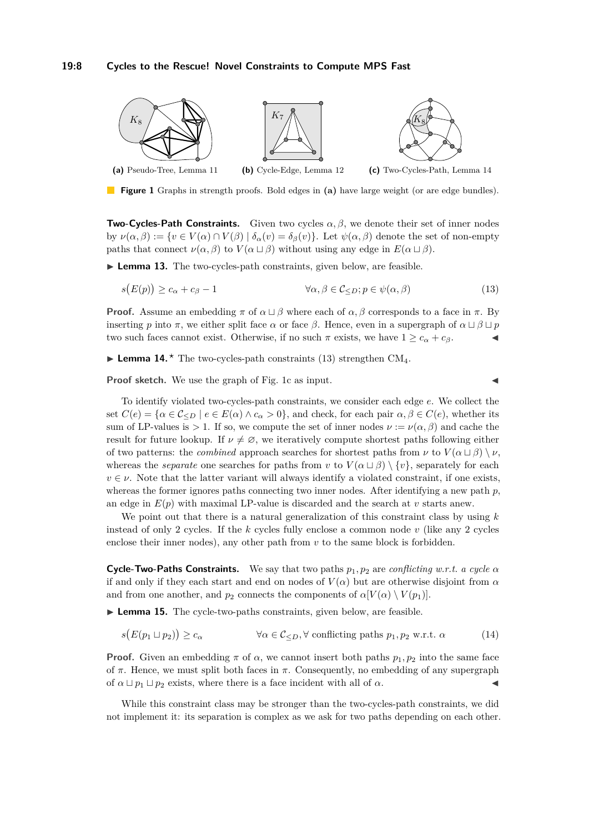<span id="page-7-0"></span>

**Figure 1** Graphs in strength proofs. Bold edges in **(a)** have large weight (or are edge bundles).

**Two-Cycles-Path Constraints.** Given two cycles  $\alpha$ ,  $\beta$ , we denote their set of inner nodes by *ν*(*α, β*) := {*v* ∈ *V* (*α*) ∩ *V* (*β*) | *δα*(*v*) = *δβ*(*v*)}. Let *ψ*(*α, β*) denote the set of non-empty paths that connect  $\nu(\alpha, \beta)$  to  $V(\alpha \sqcup \beta)$  without using any edge in  $E(\alpha \sqcup \beta)$ .

► Lemma 13. The two-cycles-path constraints, given below, are feasible.

<span id="page-7-2"></span>
$$
s(E(p)) \ge c_{\alpha} + c_{\beta} - 1 \qquad \forall \alpha, \beta \in C_{\le D}; p \in \psi(\alpha, \beta)
$$
\n(13)

**Proof.** Assume an embedding  $\pi$  of  $\alpha \sqcup \beta$  where each of  $\alpha, \beta$  corresponds to a face in  $\pi$ . By inserting *p* into  $\pi$ , we either split face  $\alpha$  or face  $\beta$ . Hence, even in a supergraph of  $\alpha \sqcup \beta \sqcup p$ two such faces cannot exist. Otherwise, if no such  $\pi$  exists, we have  $1 \geq c_{\alpha} + c_{\beta}$ .

<span id="page-7-1"></span>**Lemma 14.**<sup>*\**</sup> The two-cycles-path constraints [\(13\)](#page-7-2) strengthen  $CM_4$ .

**Proof sketch.** We use the graph of Fig. [1c](#page-7-0) as input.

To identify violated two-cycles-path constraints, we consider each edge *e*. We collect the set  $C(e) = {\alpha \in C_{\leq D} \mid e \in E(\alpha) \land c_{\alpha} > 0}$ , and check, for each pair  $\alpha, \beta \in C(e)$ , whether its sum of LP-values is  $> 1$ . If so, we compute the set of inner nodes  $\nu := \nu(\alpha, \beta)$  and cache the result for future lookup. If  $\nu \neq \emptyset$ , we iteratively compute shortest paths following either of two patterns: the *combined* approach searches for shortest paths from  $\nu$  to  $V(\alpha \sqcup \beta) \setminus \nu$ , whereas the *separate* one searches for paths from *v* to  $V(\alpha \sqcup \beta) \setminus \{v\}$ , separately for each  $v \in \nu$ . Note that the latter variant will always identify a violated constraint, if one exists, whereas the former ignores paths connecting two inner nodes. After identifying a new path *p*, an edge in  $E(p)$  with maximal LP-value is discarded and the search at *v* starts anew.

We point out that there is a natural generalization of this constraint class by using *k* instead of only 2 cycles. If the *k* cycles fully enclose a common node *v* (like any 2 cycles enclose their inner nodes), any other path from *v* to the same block is forbidden.

**Cycle-Two-Paths Constraints.** We say that two paths *p*1*, p*<sup>2</sup> are *conflicting w.r.t. a cycle α* if and only if they each start and end on nodes of  $V(\alpha)$  but are otherwise disjoint from  $\alpha$ and from one another, and  $p_2$  connects the components of  $\alpha[V(\alpha) \setminus V(p_1)].$ 

► Lemma 15. The cycle-two-paths constraints, given below, are feasible.

$$
s(E(p_1 \sqcup p_2)) \ge c_\alpha \qquad \forall \alpha \in C_{\le D}, \forall \text{ conflicting paths } p_1, p_2 \text{ w.r.t. } \alpha \tag{14}
$$

**Proof.** Given an embedding  $\pi$  of  $\alpha$ , we cannot insert both paths  $p_1, p_2$  into the same face of  $\pi$ . Hence, we must split both faces in  $\pi$ . Consequently, no embedding of any supergraph of  $\alpha \sqcup p_1 \sqcup p_2$  exists, where there is a face incident with all of  $\alpha$ .

While this constraint class may be stronger than the two-cycles-path constraints, we did not implement it: its separation is complex as we ask for two paths depending on each other.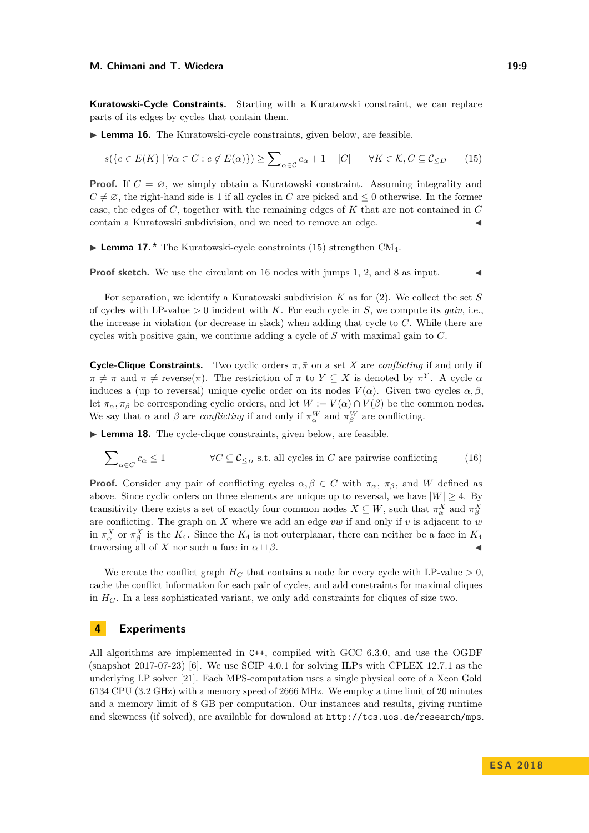**Kuratowski-Cycle Constraints.** Starting with a Kuratowski constraint, we can replace parts of its edges by cycles that contain them.

▶ Lemma 16. The Kuratowski-cycle constraints, given below, are feasible.

<span id="page-8-1"></span>
$$
s({e \in E(K) \mid \forall \alpha \in C : e \notin E(\alpha)}}) \ge \sum_{\alpha \in C} c_{\alpha} + 1 - |C| \quad \forall K \in K, C \subseteq C_{\le D} \tag{15}
$$

**Proof.** If  $C = \emptyset$ , we simply obtain a Kuratowski constraint. Assuming integrality and  $C \neq \emptyset$ , the right-hand side is 1 if all cycles in *C* are picked and  $\leq 0$  otherwise. In the former case, the edges of *C*, together with the remaining edges of *K* that are not contained in *C* contain a Kuratowski subdivision, and we need to remove an edge.

**Lemma 17.**<sup>*\**</sup> The Kuratowski-cycle constraints [\(15\)](#page-8-1) strengthen  $CM_4$ .

**Proof sketch.** We use the circulant on 16 nodes with jumps 1, 2, and 8 as input.

For separation, we identify a Kuratowski subdivision *K* as for [\(2\)](#page-2-1). We collect the set *S* of cycles with LP-value  $> 0$  incident with *K*. For each cycle in *S*, we compute its *gain*, i.e., the increase in violation (or decrease in slack) when adding that cycle to *C*. While there are cycles with positive gain, we continue adding a cycle of *S* with maximal gain to *C*.

**Cycle-Clique Constraints.** Two cyclic orders  $\pi$ ,  $\bar{\pi}$  on a set *X* are *conflicting* if and only if  $\pi \neq \bar{\pi}$  and  $\pi \neq$  reverse( $\bar{\pi}$ ). The restriction of  $\pi$  to  $Y \subseteq X$  is denoted by  $\pi^Y$ . A cycle  $\alpha$ induces a (up to reversal) unique cyclic order on its nodes  $V(\alpha)$ . Given two cycles  $\alpha, \beta$ , let  $\pi_{\alpha}, \pi_{\beta}$  be corresponding cyclic orders, and let  $W := V(\alpha) \cap V(\beta)$  be the common nodes. We say that  $\alpha$  and  $\beta$  are *conflicting* if and only if  $\pi_\alpha^W$  and  $\pi_\beta^W$  are conflicting.

► Lemma 18. The cycle-clique constraints, given below, are feasible.

<span id="page-8-2"></span>
$$
\sum_{\alpha \in C} c_{\alpha} \le 1 \qquad \forall C \subseteq \mathcal{C}_{\leq_D} \text{ s.t. all cycles in } C \text{ are pairwise conflicting} \tag{16}
$$

**Proof.** Consider any pair of conflicting cycles  $\alpha, \beta \in C$  with  $\pi_{\alpha}, \pi_{\beta}$ , and *W* defined as above. Since cyclic orders on three elements are unique up to reversal, we have  $|W| \geq 4$ . By transitivity there exists a set of exactly four common nodes  $X \subseteq W$ , such that  $\pi_\alpha^X$  and  $\pi_\beta^X$ are conflicting. The graph on *X* where we add an edge *vw* if and only if *v* is adjacent to *w* in  $\pi^X_\alpha$  or  $\pi^X_\beta$  is the *K*<sub>4</sub>. Since the *K*<sub>4</sub> is not outerplanar, there can neither be a face in *K*<sub>4</sub> traversing all of *X* nor such a face in  $\alpha \sqcup \beta$ .

We create the conflict graph  $H_C$  that contains a node for every cycle with LP-value  $> 0$ , cache the conflict information for each pair of cycles, and add constraints for maximal cliques in *H<sup>C</sup>* . In a less sophisticated variant, we only add constraints for cliques of size two.

# <span id="page-8-0"></span>**4 Experiments**

All algorithms are implemented in C++, compiled with GCC 6.3.0, and use the OGDF (snapshot 2017-07-23) [\[6\]](#page-12-11). We use SCIP 4.0.1 for solving ILPs with CPLEX 12.7.1 as the underlying LP solver [\[21\]](#page-13-8). Each MPS-computation uses a single physical core of a Xeon Gold 6134 CPU (3.2 GHz) with a memory speed of 2666 MHz. We employ a time limit of 20 minutes and a memory limit of 8 GB per computation. Our instances and results, giving runtime and skewness (if solved), are available for download at http://tcs.uos.de/research/mps.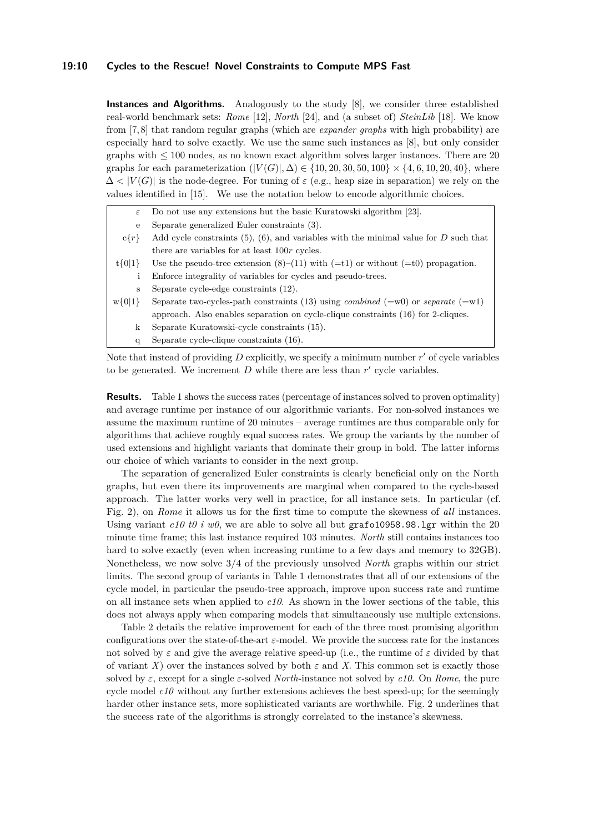#### **19:10 Cycles to the Rescue! Novel Constraints to Compute MPS Fast**

**Instances and Algorithms.** Analogously to the study [\[8\]](#page-12-7), we consider three established real-world benchmark sets: *Rome* [\[12\]](#page-12-12), *North* [\[24\]](#page-13-9), and (a subset of) *SteinLib* [\[18\]](#page-13-10). We know from [\[7,](#page-12-6) [8\]](#page-12-7) that random regular graphs (which are *expander graphs* with high probability) are especially hard to solve exactly. We use the same such instances as [\[8\]](#page-12-7), but only consider graphs with  $\leq 100$  nodes, as no known exact algorithm solves larger instances. There are 20 graphs for each parameterization  $(|V(G)|, \Delta) \in \{10, 20, 30, 50, 100\} \times \{4, 6, 10, 20, 40\}$ , where  $\Delta$  < |*V*(*G*)| is the node-degree. For tuning of  $\varepsilon$  (e.g., heap size in separation) we rely on the values identified in [\[15\]](#page-13-11). We use the notation below to encode algorithmic choices.

| ε          | Do not use any extensions but the basic Kuratowski algorithm [23].                             |
|------------|------------------------------------------------------------------------------------------------|
| e          | Separate generalized Euler constraints (3).                                                    |
| $c\{r\}$   | Add cycle constraints $(5)$ , $(6)$ , and variables with the minimal value for D such that     |
|            | there are variables for at least 100r cycles.                                                  |
| $t{0}1$    | Use the pseudo-tree extension $(8)$ – $(11)$ with $(=t1)$ or without $(=t0)$ propagation.      |
| 1          | Enforce integrality of variables for cycles and pseudo-trees.                                  |
| S          | Separate cycle-edge constraints (12).                                                          |
| $w\{0 1\}$ | Separate two-cycles-path constraints (13) using <i>combined</i> (=w0) or <i>separate</i> (=w1) |
|            | approach. Also enables separation on cycle-clique constraints $(16)$ for 2-cliques.            |
| k          | Separate Kuratowski-cycle constraints (15).                                                    |
| q          | Separate cycle-clique constraints (16).                                                        |

Note that instead of providing  $D$  explicitly, we specify a minimum number  $r'$  of cycle variables to be generated. We increment  $D$  while there are less than  $r'$  cycle variables.

**Results.** Table [1](#page-10-0) shows the success rates (percentage of instances solved to proven optimality) and average runtime per instance of our algorithmic variants. For non-solved instances we assume the maximum runtime of 20 minutes – average runtimes are thus comparable only for algorithms that achieve roughly equal success rates. We group the variants by the number of used extensions and highlight variants that dominate their group in bold. The latter informs our choice of which variants to consider in the next group.

The separation of generalized Euler constraints is clearly beneficial only on the North graphs, but even there its improvements are marginal when compared to the cycle-based approach. The latter works very well in practice, for all instance sets. In particular (cf. Fig. [2\)](#page-11-0), on *Rome* it allows us for the first time to compute the skewness of *all* instances. Using variant *c10 t0 i w0*, we are able to solve all but grafo10958.98.1gr within the 20 minute time frame; this last instance required 103 minutes. *North* still contains instances too hard to solve exactly (even when increasing runtime to a few days and memory to  $32GB$ ). Nonetheless, we now solve 3*/*4 of the previously unsolved *North* graphs within our strict limits. The second group of variants in Table [1](#page-10-0) demonstrates that all of our extensions of the cycle model, in particular the pseudo-tree approach, improve upon success rate and runtime on all instance sets when applied to *c10*. As shown in the lower sections of the table, this does not always apply when comparing models that simultaneously use multiple extensions.

Table [2](#page-10-1) details the relative improvement for each of the three most promising algorithm configurations over the state-of-the-art *ε*-model. We provide the success rate for the instances not solved by  $\varepsilon$  and give the average relative speed-up (i.e., the runtime of  $\varepsilon$  divided by that of variant *X*) over the instances solved by both  $\varepsilon$  and *X*. This common set is exactly those solved by  $\varepsilon$ , except for a single  $\varepsilon$ -solved *North*-instance not solved by *c10*. On *Rome*, the pure cycle model  $c10$  without any further extensions achieves the best speed-up; for the seemingly harder other instance sets, more sophisticated variants are worthwhile. Fig. [2](#page-11-0) underlines that the success rate of the algorithms is strongly correlated to the instance's skewness.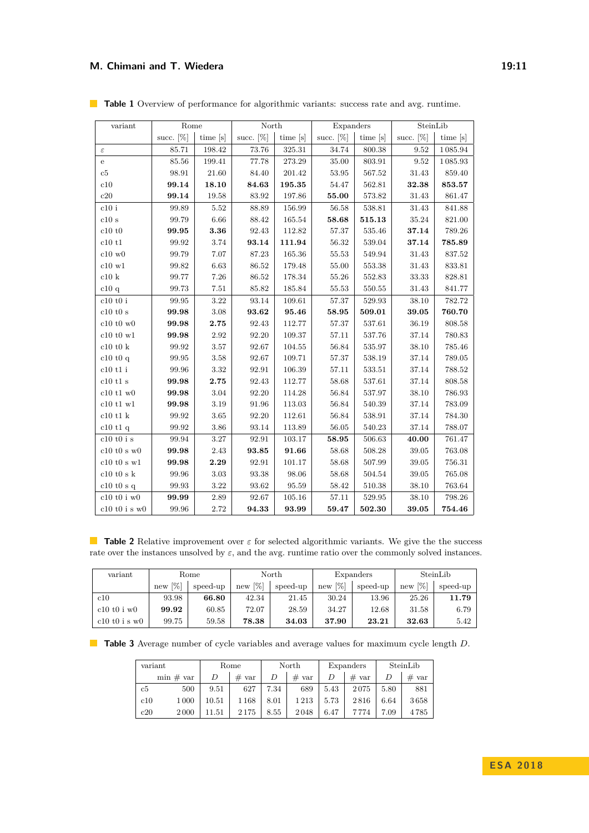# **M. Chimani and T. Wiedera** 19:11

| variant           | Rome                     |            | North        |            | Expanders    |            | SteinLib     |          |
|-------------------|--------------------------|------------|--------------|------------|--------------|------------|--------------|----------|
|                   | succ. $[\%]$<br>time [s] |            | succ. $[\%]$ | time [s]   | succ. $[\%]$ | time [s]   | succ. $[\%]$ | time [s] |
| $\varepsilon$     | 85.71                    | $198.42\,$ | 73.76        | $325.31\,$ | 34.74        | 800.38     | 9.52         | 1085.94  |
| e                 | 85.56                    | 199.41     | 77.78        | 273.29     | 35.00        | 803.91     | 9.52         | 1085.93  |
| c5                | 98.91                    | 21.60      | 84.40        | 201.42     | 53.95        | 567.52     | 31.43        | 859.40   |
| c10               | 99.14                    | 18.10      | 84.63        | 195.35     | 54.47        | 562.81     | 32.38        | 853.57   |
| c20               | 99.14                    | 19.58      | 83.92        | 197.86     | 55.00        | 573.82     | 31.43        | 861.47   |
| $c10$ i           | 99.89                    | 5.52       | 88.89        | 156.99     | 56.58        | 538.81     | 31.43        | 841.88   |
| c10s              | 99.79                    | 6.66       | 88.42        | 165.54     | 58.68        | 515.13     | 35.24        | 821.00   |
| c10t0             | 99.95                    | 3.36       | 92.43        | 112.82     | 57.37        | 535.46     | 37.14        | 789.26   |
| $c10$ t1          | 99.92                    | 3.74       | 93.14        | 111.94     | 56.32        | 539.04     | 37.14        | 785.89   |
| $c10$ w $0$       | 99.79                    | 7.07       | 87.23        | 165.36     | 55.53        | 549.94     | 31.43        | 837.52   |
| c10 w1            | 99.82                    | 6.63       | 86.52        | 179.48     | 55.00        | 553.38     | 31.43        | 833.81   |
| $\rm c10$ k       | 99.77                    | 7.26       | 86.52        | 178.34     | 55.26        | 552.83     | 33.33        | 828.81   |
| c10q              | 99.73                    | 7.51       | 85.82        | 185.84     | 55.53        | 550.55     | 31.43        | 841.77   |
| c10 t0 i          | 99.95                    | 3.22       | 93.14        | 109.61     | 57.37        | 529.93     | 38.10        | 782.72   |
| c10t0s            | 99.98                    | 3.08       | 93.62        | 95.46      | $\bf58.95$   | 509.01     | 39.05        | 760.70   |
| c10t0w0           | 99.98                    | 2.75       | 92.43        | 112.77     | 57.37        | $537.61\,$ | 36.19        | 808.58   |
| c10t0w1           | 99.98                    | 2.92       | 92.20        | 109.37     | 57.11        | 537.76     | 37.14        | 780.83   |
| $c10$ t $0$ k     | 99.92                    | 3.57       | 92.67        | 104.55     | 56.84        | 535.97     | 38.10        | 785.46   |
| $c10$ t0 q        | 99.95                    | 3.58       | 92.67        | 109.71     | 57.37        | 538.19     | 37.14        | 789.05   |
| $c10$ t1 i        | 99.96                    | 3.32       | 92.91        | 106.39     | 57.11        | 533.51     | 37.14        | 788.52   |
| $c10$ t1 s        | 99.98                    | 2.75       | 92.43        | 112.77     | 58.68        | 537.61     | 37.14        | 808.58   |
| c10t1w0           | 99.98                    | 3.04       | 92.20        | 114.28     | 56.84        | 537.97     | 38.10        | 786.93   |
| $c10$ t1 $w1$     | 99.98                    | 3.19       | 91.96        | 113.03     | 56.84        | 540.39     | 37.14        | 783.09   |
| $c10$ t1 $k$      | 99.92                    | 3.65       | 92.20        | 112.61     | 56.84        | 538.91     | 37.14        | 784.30   |
| $c10$ t1 q        | 99.92                    | 3.86       | 93.14        | 113.89     | 56.05        | 540.23     | 37.14        | 788.07   |
| $\rm c10$ t0 i s  | 99.94                    | $3.27\,$   | 92.91        | 103.17     | 58.95        | 506.63     | 40.00        | 761.47   |
| $c10$ to s $w0$   | 99.98                    | $2.43\,$   | 93.85        | 91.66      | 58.68        | 508.28     | 39.05        | 763.08   |
| $c10t0s$ w1       | 99.98                    | 2.29       | 92.91        | 101.17     | 58.68        | 507.99     | 39.05        | 756.31   |
| $c10$ t $0$ s $k$ | 99.96                    | 3.03       | 93.38        | 98.06      | 58.68        | $504.54\,$ | 39.05        | 765.08   |
| $c10$ t $0$ s q   | 99.93                    | 3.22       | 93.62        | 95.59      | 58.42        | 510.38     | 38.10        | 763.64   |
| c10t0i w0         | 99.99                    | 2.89       | 92.67        | $105.16\,$ | 57.11        | 529.95     | 38.10        | 798.26   |
| $c10$ t0 i s w0   | 99.96                    | 2.72       | 94.33        | 93.99      | 59.47        | 502.30     | 39.05        | 754.46   |

<span id="page-10-0"></span>**Table 1** Overview of performance for algorithmic variants: success rate and avg. runtime.

<span id="page-10-1"></span>**Table 2** Relative improvement over *ε* for selected algorithmic variants. We give the the success rate over the instances unsolved by  $\varepsilon$ , and the avg. runtime ratio over the commonly solved instances.

| variant         | Rome       |          | North                 |          |            | Expanders | SteinLib  |          |
|-----------------|------------|----------|-----------------------|----------|------------|-----------|-----------|----------|
|                 | [%]<br>new | speed-up | <sup>[%]</sup><br>new | speed-up | [%]<br>new | speed-up  | $new$ [%] | speed-up |
| c10             | 93.98      | 66.80    | 42.34                 | 21.45    | 30.24      | 13.96     | 25.26     | 11.79    |
| c10t0i w0       | 99.92      | 60.85    | 72.07                 | 28.59    | 34.27      | 12.68     | 31.58     | 6.79     |
| $c10t0$ is $w0$ | 99.75      | 59.58    | 78.38                 | 34.03    | 37.90      | 23.21     | 32.63     | 5.42     |

<span id="page-10-2"></span>

|  |  | <b>Table 3</b> Average number of cycle variables and average values for maximum cycle length $D$ . |  |  |  |  |
|--|--|----------------------------------------------------------------------------------------------------|--|--|--|--|
|--|--|----------------------------------------------------------------------------------------------------|--|--|--|--|

| variant |                      | Rome  |          | North |          | Expanders |          | SteinLib |       |
|---------|----------------------|-------|----------|-------|----------|-----------|----------|----------|-------|
|         | $\min \# \text{var}$ | D     | #<br>var | D     | #<br>var |           | #<br>var |          | # var |
| c5      | 500                  | 9.51  | 627      | 7.34  | 689      | 5.43      | 2075     | 5.80     | 881   |
| c10     | 1000                 | 10.51 | 1 168    | 8.01  | 1213     | 5.73      | 2816     | 6.64     | 3658  |
| c20     | 2000                 | 11.51 | 2 1 7 5  | 8.55  | 2048     | 6.47      | 7774     | .09      | 4785  |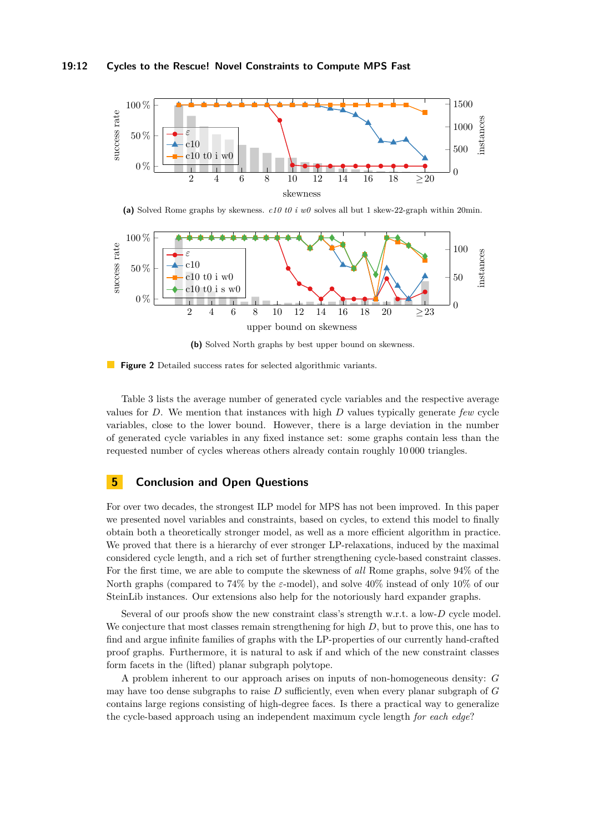#### **19:12 Cycles to the Rescue! Novel Constraints to Compute MPS Fast**

<span id="page-11-0"></span>

**(a)** Solved Rome graphs by skewness. *c10 t0 i w0* solves all but 1 skew-22-graph within 20min.



**(b)** Solved North graphs by best upper bound on skewness.

**Figure 2** Detailed success rates for selected algorithmic variants.

Table [3](#page-10-2) lists the average number of generated cycle variables and the respective average values for *D*. We mention that instances with high *D* values typically generate *few* cycle variables, close to the lower bound. However, there is a large deviation in the number of generated cycle variables in any fixed instance set: some graphs contain less than the requested number of cycles whereas others already contain roughly 10 000 triangles.

# **5 Conclusion and Open Questions**

For over two decades, the strongest ILP model for MPS has not been improved. In this paper we presented novel variables and constraints, based on cycles, to extend this model to finally obtain both a theoretically stronger model, as well as a more efficient algorithm in practice. We proved that there is a hierarchy of ever stronger LP-relaxations, induced by the maximal considered cycle length, and a rich set of further strengthening cycle-based constraint classes. For the first time, we are able to compute the skewness of *all* Rome graphs, solve 94% of the North graphs (compared to 74% by the *ε*-model), and solve 40% instead of only 10% of our SteinLib instances. Our extensions also help for the notoriously hard expander graphs.

Several of our proofs show the new constraint class's strength w.r.t. a low-*D* cycle model. We conjecture that most classes remain strengthening for high *D*, but to prove this, one has to find and argue infinite families of graphs with the LP-properties of our currently hand-crafted proof graphs. Furthermore, it is natural to ask if and which of the new constraint classes form facets in the (lifted) planar subgraph polytope.

A problem inherent to our approach arises on inputs of non-homogeneous density: *G* may have too dense subgraphs to raise *D* sufficiently, even when every planar subgraph of *G* contains large regions consisting of high-degree faces. Is there a practical way to generalize the cycle-based approach using an independent maximum cycle length *for each edge*?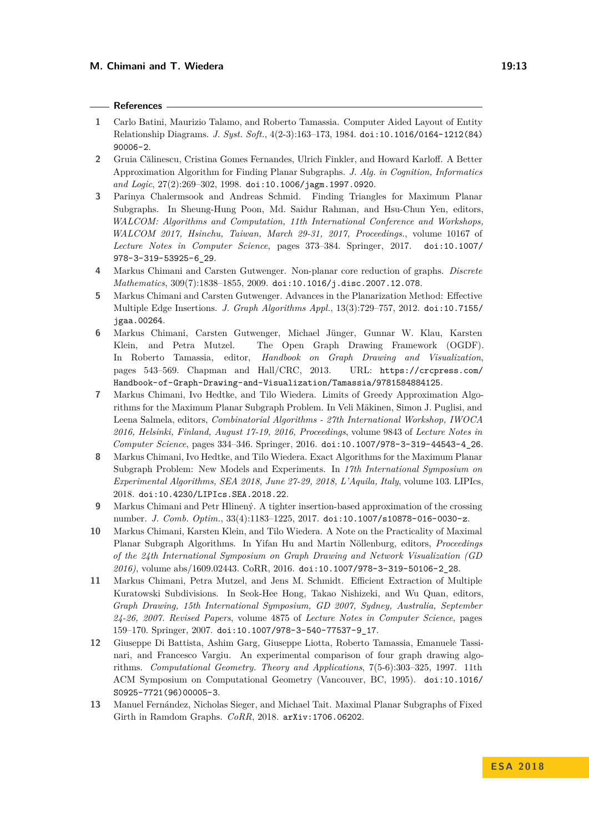#### **References**

- <span id="page-12-0"></span>**1** Carlo Batini, Maurizio Talamo, and Roberto Tamassia. Computer Aided Layout of Entity Relationship Diagrams. *J. Syst. Soft.*, 4(2-3):163–173, 1984. [doi:10.1016/0164-1212\(84\)](http://dx.doi.org/10.1016/0164-1212(84)90006-2) [90006-2](http://dx.doi.org/10.1016/0164-1212(84)90006-2).
- <span id="page-12-4"></span>**2** Gruia Călinescu, Cristina Gomes Fernandes, Ulrich Finkler, and Howard Karloff. A Better Approximation Algorithm for Finding Planar Subgraphs. *J. Alg. in Cognition, Informatics and Logic*, 27(2):269–302, 1998. [doi:10.1006/jagm.1997.0920](http://dx.doi.org/10.1006/jagm.1997.0920).
- <span id="page-12-5"></span>**3** Parinya Chalermsook and Andreas Schmid. Finding Triangles for Maximum Planar Subgraphs. In Sheung-Hung Poon, Md. Saidur Rahman, and Hsu-Chun Yen, editors, *WALCOM: Algorithms and Computation, 11th International Conference and Workshops, WALCOM 2017, Hsinchu, Taiwan, March 29-31, 2017, Proceedings.*, volume 10167 of *Lecture Notes in Computer Science*, pages 373–384. Springer, 2017. [doi:10.1007/](http://dx.doi.org/10.1007/978-3-319-53925-6_29) [978-3-319-53925-6\\_29](http://dx.doi.org/10.1007/978-3-319-53925-6_29).
- <span id="page-12-8"></span>**4** Markus Chimani and Carsten Gutwenger. Non-planar core reduction of graphs. *Discrete Mathematics*, 309(7):1838–1855, 2009. [doi:10.1016/j.disc.2007.12.078](http://dx.doi.org/10.1016/j.disc.2007.12.078).
- <span id="page-12-1"></span>**5** Markus Chimani and Carsten Gutwenger. Advances in the Planarization Method: Effective Multiple Edge Insertions. *J. Graph Algorithms Appl.*, 13(3):729–757, 2012. [doi:10.7155/](http://dx.doi.org/10.7155/jgaa.00264) [jgaa.00264](http://dx.doi.org/10.7155/jgaa.00264).
- <span id="page-12-11"></span>**6** Markus Chimani, Carsten Gutwenger, Michael Jünger, Gunnar W. Klau, Karsten Klein, and Petra Mutzel. The Open Graph Drawing Framework (OGDF). In Roberto Tamassia, editor, *Handbook on Graph Drawing and Visualization*, pages 543–569. Chapman and Hall/CRC, 2013. URL: [https://crcpress.com/](https://crcpress.com/Handbook-of-Graph-Drawing-and-Visualization/Tamassia/9781584884125) [Handbook-of-Graph-Drawing-and-Visualization/Tamassia/9781584884125](https://crcpress.com/Handbook-of-Graph-Drawing-and-Visualization/Tamassia/9781584884125).
- <span id="page-12-6"></span>**7** Markus Chimani, Ivo Hedtke, and Tilo Wiedera. Limits of Greedy Approximation Algorithms for the Maximum Planar Subgraph Problem. In Veli Mäkinen, Simon J. Puglisi, and Leena Salmela, editors, *Combinatorial Algorithms - 27th International Workshop, IWOCA 2016, Helsinki, Finland, August 17-19, 2016, Proceedings*, volume 9843 of *Lecture Notes in Computer Science*, pages 334–346. Springer, 2016. [doi:10.1007/978-3-319-44543-4\\_26](http://dx.doi.org/10.1007/978-3-319-44543-4_26).
- <span id="page-12-7"></span>**8** Markus Chimani, Ivo Hedtke, and Tilo Wiedera. Exact Algorithms for the Maximum Planar Subgraph Problem: New Models and Experiments. In *17th International Symposium on Experimental Algorithms, SEA 2018, June 27-29, 2018, L'Aquila, Italy*, volume 103. LIPIcs, 2018. [doi:10.4230/LIPIcs.SEA.2018.22](http://dx.doi.org/10.4230/LIPIcs.SEA.2018.22).
- <span id="page-12-2"></span>**9** Markus Chimani and Petr Hlinený. A tighter insertion-based approximation of the crossing number. *J. Comb. Optim.*, 33(4):1183–1225, 2017. [doi:10.1007/s10878-016-0030-z](http://dx.doi.org/10.1007/s10878-016-0030-z).
- <span id="page-12-3"></span>**10** Markus Chimani, Karsten Klein, and Tilo Wiedera. A Note on the Practicality of Maximal Planar Subgraph Algorithms. In Yifan Hu and Martin Nöllenburg, editors, *Proceedings of the 24th International Symposium on Graph Drawing and Network Visualization (GD 2016)*, volume abs/1609.02443. CoRR, 2016. [doi:10.1007/978-3-319-50106-2\\_28](http://dx.doi.org/10.1007/978-3-319-50106-2_28).
- <span id="page-12-9"></span>**11** Markus Chimani, Petra Mutzel, and Jens M. Schmidt. Efficient Extraction of Multiple Kuratowski Subdivisions. In Seok-Hee Hong, Takao Nishizeki, and Wu Quan, editors, *Graph Drawing, 15th International Symposium, GD 2007, Sydney, Australia, September 24-26, 2007. Revised Papers*, volume 4875 of *Lecture Notes in Computer Science*, pages 159–170. Springer, 2007. [doi:10.1007/978-3-540-77537-9\\_17](http://dx.doi.org/10.1007/978-3-540-77537-9_17).
- <span id="page-12-12"></span>**12** Giuseppe Di Battista, Ashim Garg, Giuseppe Liotta, Roberto Tamassia, Emanuele Tassinari, and Francesco Vargiu. An experimental comparison of four graph drawing algorithms. *Computational Geometry. Theory and Applications*, 7(5-6):303–325, 1997. 11th ACM Symposium on Computational Geometry (Vancouver, BC, 1995). [doi:10.1016/](http://dx.doi.org/10.1016/S0925-7721(96)00005-3) [S0925-7721\(96\)00005-3](http://dx.doi.org/10.1016/S0925-7721(96)00005-3).
- <span id="page-12-10"></span>**13** Manuel Fernández, Nicholas Sieger, and Michael Tait. Maximal Planar Subgraphs of Fixed Girth in Ramdom Graphs. *CoRR*, 2018. [arXiv:1706.06202](http://arxiv.org/abs/1706.06202).